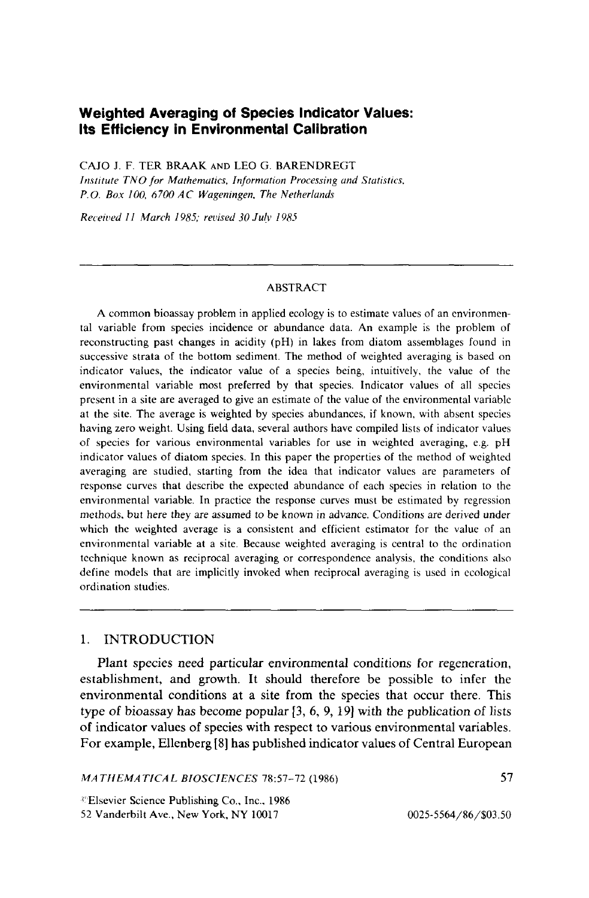# **Weighted Averaging of Species Indicator Values: Its Efficiency In Environmental Calibration**

CAJO J. F. TER BRAAK AND LEO G. BARENDREGT *Institute TNO for Mathematics, Information Processing and Statistics, P.O. Box 100, 6700 AC Wageningen, The Netherlands* 

*Received II March 1985; revised 30Julv 1985* 

#### ABSTRACT

A common bioassay problem in applied ecology is to estimate values of an environmental variable from species incidence or abundance data. An example is the problem of reconstructing past changes in acidity (pH) in lakes from diatom assemblages found in successive strata of the bottom sediment. The method of weighted averaging is based on indicator values, the indicator value of a species being, intuitively, the value of the environmental variable most preferred by that species. Indicator values of all species present in a site are averaged to give an estimate of the value of the environmental variable at the site. The average is weighted by species abundances, if known, with absent species having zero weight. Using field data, several authors have compiled lists of indicator values of species for various environmental variables for use in weighted averaging, e.g. pH indicator values of diatom species. In this paper the properties of the method of weighted averaging are studied, starting from the idea that indicator values are parameters of response curves that describe the expected abundance of each species in relation to the environmental variable. In practice the response curves must be estimated by regression methods. but here they are assumed to be known in advance. Conditions are derived under which the weighted average is a consistent and efficient estimator for the value of an environmental variable at a site. Because weighted averaging is central to the ordination technique known as reciprocal averaging or correspondence analysis, the conditions also define models that are implicitly invoked when reciprocal averaging is used in ecological ordination studies.

# 1. INTRODUCTION

Plant species need particular environmental conditions for regeneration, establishment, and growth. It should therefore be possible to infer the environmental conditions at a site from the species that occur there. This type of bioassay has become popular [3, 6, 9, 19] with the publication of lists of indicator values of species with respect to various environmental variables. For example, Ellenberg [8] has published indicator values of Central European

*MATHEMATICAL BIOSCIENCES* 78:57-72 (1986)

 $E$ Isevier Science Publishing Co., Inc., 1986 52 Vanderbilt Ave., New York, NY 10017

0025-5564/86/\$03.50

57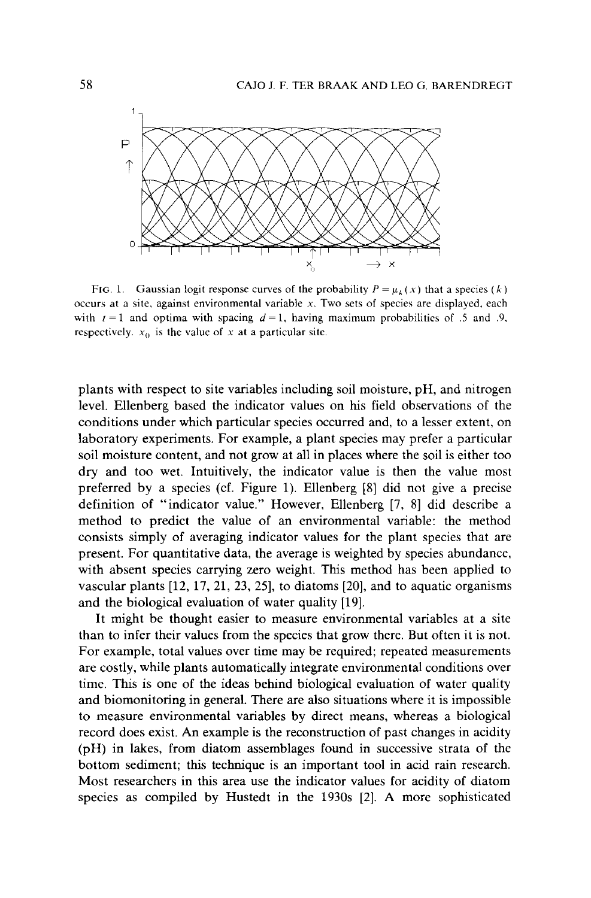

FIG. 1. Gaussian logit response curves of the probability  $P = \mu_k(x)$  that a species  $(k)$ occurs at a site, against environmental variable *x.* Two sets of species are displayed, each with  $t = 1$  and optima with spacing  $d = 1$ , having maximum probabilities of .5 and .9, respectively.  $x_0$  is the value of x at a particular site.

plants with respect to site variables including soil moisture, pH, and nitrogen level. Ellenberg based the indicator values on his field observations of the conditions under which particular species occurred and, to a lesser extent, on laboratory experiments. For example, a plant species may prefer a particular soil moisture content, and not grow at all in places where the soil is either too dry and too wet. Intuitively, the indicator value is then the value most preferred by a species (cf. Figure 1). Ellenberg [8] did not give a precise definition of "indicator value." However, Ellenberg [7, 8] did describe a method to predict the value of an environmental variable: the method consists simply of averaging indicator values for the plant species that are present. For quantitative data, the average is weighted by species abundance, with absent species carrying zero weight. This method has been applied to vascular plants [12, 17, 21, 23, 25], to diatoms [20], and to aquatic organisms and the biological evaluation of water quality [19].

It might be thought easier to measure environmental variables at a site than to infer their values from the species that grow there. But often it is not. For example, total values over time may be required; repeated measurements are costly, while plants automatically integrate environmental conditions over time. This is one of the ideas behind biological evaluation of water quality and biomonitoring in general. There are also situations where it is impossible to measure environmental variables by direct means, whereas a biological record does exist. An example is the reconstruction of past changes in acidity (pH) in lakes, from diatom assemblages found in successive strata of the bottom sediment; this technique is an important tool in acid rain research. Most researchers in this area use the indicator values for acidity of diatom species as compiled by Hustedt in the 1930s [2]. A more sophisticated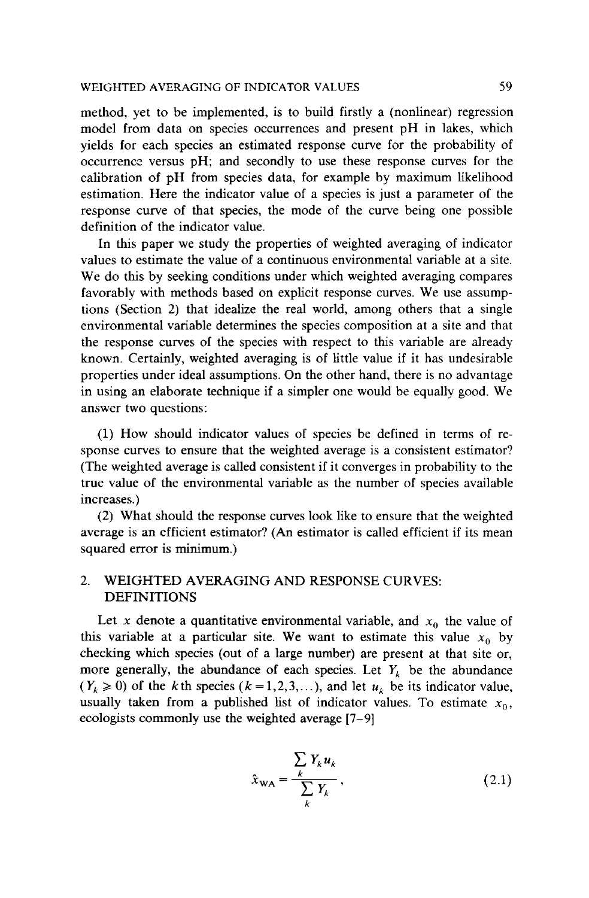method, yet to be implemented, is to build firstly a (nonlinear) regression model from data on species occurrences and present pH in lakes, which yields for each species an estimated response curve for the probability of occurrence versus pH; and secondly to use these response curves for the calibration of pH from species data, for example by maximum likelihood estimation. Here the indicator value of a species is just a parameter of the response curve of that species, the mode of the curve being one possible definition of the indicator value.

In this paper we study the properties of weighted averaging of indicator values to estimate the value of a continuous environmental variable at a site. We do this by seeking conditions under which weighted averaging compares favorably with methods based on explicit response curves. We use assumptions (Section 2) that idealize the real world, among others that a single environmental variable determines the species composition at a site and that the response curves of the species with respect to this variable are already known. Certainly, weighted averaging is of little value if it has undesirable properties under ideal assumptions. On the other hand, there is no advantage in using an elaborate technique if a simpler one would be equally good. We answer two questions:

(1) How should indicator values of species be defined in terms of response curves to ensure that the weighted average is a consistent estimator? (The weighted average is called consistent if it converges in probability to the true value of the environmental variable as the number of species available increases.)

(2) What should the response curves look like to ensure that the weighted average is an efficient estimator? (An estimator is called efficient if its mean squared error is minimum.)

# 2. WEIGHTED AVERAGING AND RESPONSE CURVES: DEFINITIONS

Let *x* denote a quantitative environmental variable, and  $x_0$  the value of this variable at a particular site. We want to estimate this value  $x_0$  by checking which species (out of a large number) are present at that site or, more generally, the abundance of each species. Let  $Y_k$  be the abundance  $(Y_k \ge 0)$  of the k th species  $(k = 1, 2, 3, ...)$ , and let  $u_k$  be its indicator value, usually taken from a published list of indicator values. To estimate  $x_0$ , ecologists commonly use the weighted average [7-9]

$$
\hat{x}_{WA} = \frac{\sum_{k} Y_k u_k}{\sum_{k} Y_k},
$$
\n(2.1)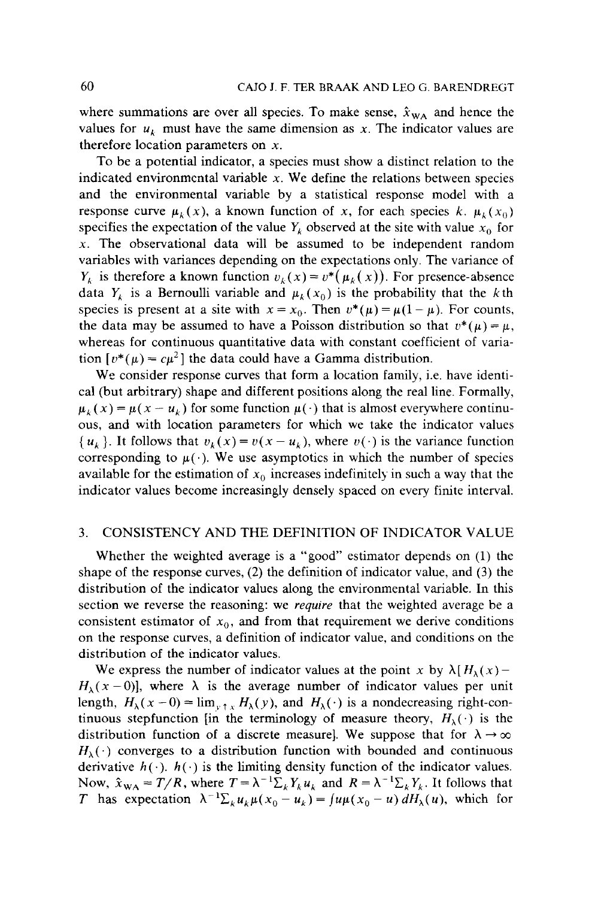where summations are over all species. To make sense,  $\hat{x}_{WA}$  and hence the values for  $u_k$  must have the same dimension as x. The indicator values are therefore location parameters on *x.* 

To be a potential indicator, a species must show a distinct relation to the indicated environmental variable *x.* We define the relations between species and the environmental variable by a statistical response model with a response curve  $\mu_k(x)$ , a known function of x, for each species k.  $\mu_k(x_0)$ specifies the expectation of the value  $Y_k$  observed at the site with value  $x_0$  for *x.* The observational data will be assumed to be independent random variables with variances depending on the expectations only. The variance of *Y<sub>k</sub>* is therefore a known function  $v_k(x) = v^*(\mu_k(x))$ . For presence-absence data  $Y_k$  is a Bernoulli variable and  $\mu_k(x_0)$  is the probability that the *k*th species is present at a site with  $x = x_0$ . Then  $v^*(\mu) = \mu(1 - \mu)$ . For counts, the data may be assumed to have a Poisson distribution so that  $v^*(\mu) = \mu$ , whereas for continuous quantitative data with constant coefficient of variation  $[v^*(\mu) = c\mu^2]$  the data could have a Gamma distribution.

We consider response curves that form a location family, i.e. have identical (but arbitrary) shape and different positions along the real line. Formally,  $\mu_k$  (*x*) =  $\mu$ (*x* - *u<sub>k</sub>*) for some function  $\mu$ (·) that is almost everywhere continuous, and with location parameters for which we take the indicator values  $\{u_k\}$ . It follows that  $v_k(x) = v(x - u_k)$ , where  $v(\cdot)$  is the variance function corresponding to  $\mu(\cdot)$ . We use asymptotics in which the number of species available for the estimation of  $x<sub>0</sub>$  increases indefinitely in such a way that the indicator values become increasingly densely spaced on every finite interval.

## 3. CONSISTENCY AND THE DEFINITION OF INDICATOR VALUE

Whether the weighted average is a "good" estimator depends on (1) the shape of the response curves, (2) the definition of indicator value, and (3) the distribution of the indicator values along the environmental variable. In this section we reverse the reasoning: we *require* that the weighted average be a consistent estimator of  $x_0$ , and from that requirement we derive conditions on the response curves, a definition of indicator value, and conditions on the distribution of the indicator values.

We express the number of indicator values at the point *x* by  $\lambda [H_{\lambda}(x) H_{\lambda}(x - 0)$ , where  $\lambda$  is the average number of indicator values per unit length,  $H_{\lambda}(x-0) = \lim_{y \to \infty} H_{\lambda}(y)$ , and  $H_{\lambda}(\cdot)$  is a nondecreasing right-continuous stepfunction [in the terminology of measure theory,  $H_{\lambda}(\cdot)$  is the distribution function of a discrete measure]. We suppose that for  $\lambda \rightarrow \infty$  $H_{\lambda}(\cdot)$  converges to a distribution function with bounded and continuous derivative  $h(\cdot)$ .  $h(\cdot)$  is the limiting density function of the indicator values. Now,  $\hat{x}_{WA} = T/R$ , where  $T = \lambda^{-1} \sum_{k} Y_{k} u_{k}$  and  $R = \lambda^{-1} \sum_{k} Y_{k}$ . It follows that *T* has expectation  $\lambda^{-1} \Sigma_k u_k \mu(x_0 - u_k) = \int u \mu(x_0 - u) dH_\lambda(u)$ , which for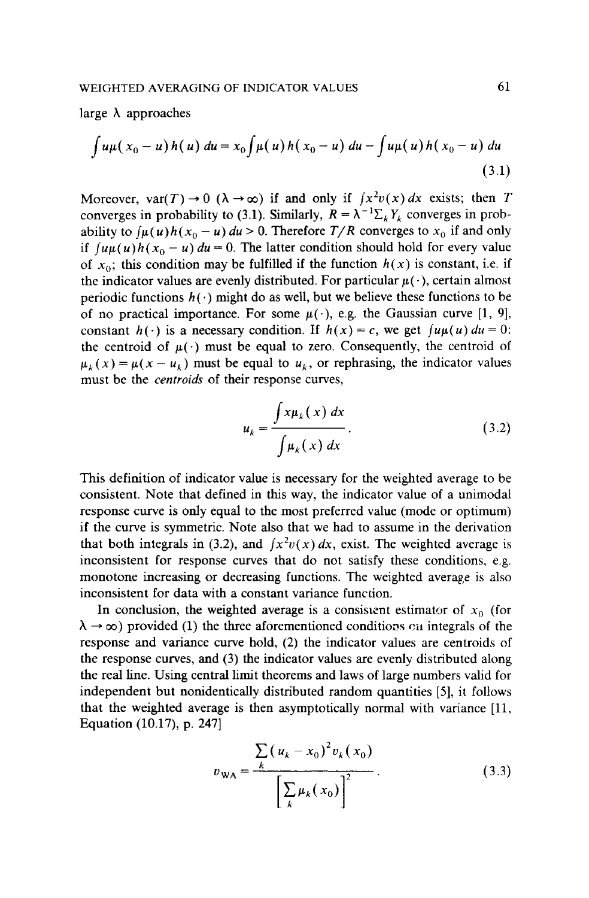large  $\lambda$  approaches

$$
\int u\mu(x_0-u) h(u) du = x_0 \int \mu(u) h(x_0-u) du - \int u\mu(u) h(x_0-u) du
$$
\n(3.1)

Moreover,  $var(T) \rightarrow 0$  ( $\lambda \rightarrow \infty$ ) if and only if  $\int x^2 v(x) dx$  exists; then T converges in probability to (3.1). Similarly,  $R = \lambda^{-1} \sum_{k} Y_k$  converges in probability to  $\int \mu(u)h(x_0 - u) du > 0$ . Therefore  $T/R$  converges to  $x_0$  if and only if  $\int u\mu(u)h(x_0 - u) du = 0$ . The latter condition should hold for every value of  $x_0$ ; this condition may be fulfilled if the function  $h(x)$  is constant, i.e. if the indicator values are evenly distributed. For particular  $\mu(\cdot)$ , certain almost periodic functions  $h(\cdot)$  might do as well, but we believe these functions to be of no practical importance. For some  $\mu(\cdot)$ , e.g. the Gaussian curve [1, 9], constant  $h(\cdot)$  is a necessary condition. If  $h(x) = c$ , we get  $\int u \mu(u) du = 0$ : the centroid of  $\mu(\cdot)$  must be equal to zero. Consequently, the centroid of  $\mu_k(x) = \mu(x - u_k)$  must be equal to  $u_k$ , or rephrasing, the indicator values must be the *centroids* of their response curves,

$$
u_k = \frac{\int x \mu_k(x) dx}{\int \mu_k(x) dx}.
$$
 (3.2)

This definition of indicator value is necessary for the weighted average to be consistent. Note that defined in this way, the indicator value of a unimodal response curve is only equal to the most preferred value (mode or optimum) if the curve is symmetric. Note also that we had to assume in the derivation that both integrals in (3.2), and  $\int x^2 v(x) dx$ , exist. The weighted average is inconsistent for response curves that do not satisfy these conditions, e.g. monotone increasing or decreasing functions. The weighted average is also inconsistent for data with a constant variance function.

In conclusion, the weighted average is a consistent estimator of  $x_0$  (for  $\lambda \rightarrow \infty$ ) provided (1) the three aforementioned conditions on integrals of the response and variance curve hold, (2) the indicator values are centroids of the response curves, and (3) the indicator values are evenly distributed along the real line. Using central limit theorems and laws of large numbers valid for independent but nonidentically distributed random quantities [5], it follows that the weighted average is then asymptotically normal with variance [11, Equation (10.17), p. 247]

$$
v_{WA} = \frac{\sum_{k} (u_k - x_0)^2 v_k(x_0)}{\left[\sum_{k} \mu_k(x_0)\right]^2}.
$$
 (3.3)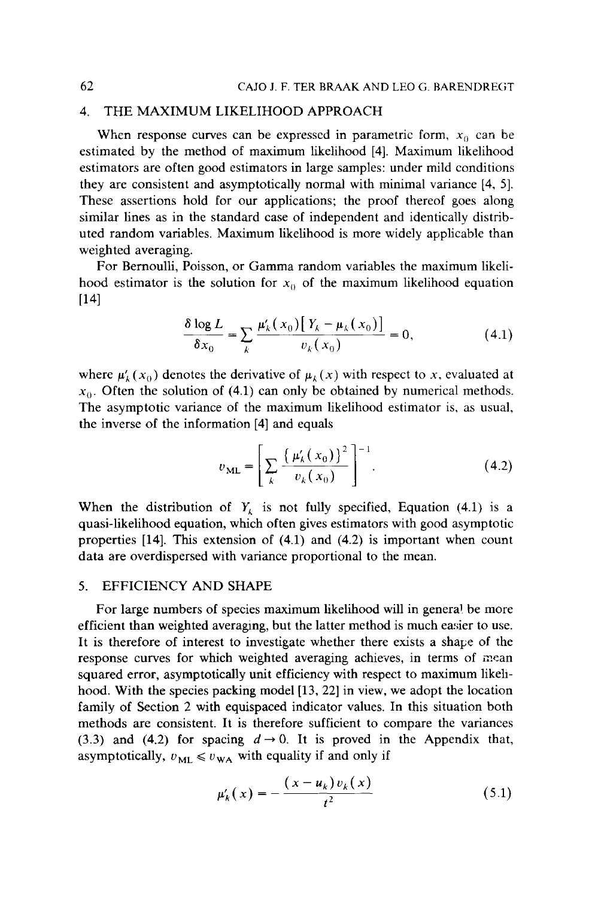## 4. THE MAXIMUM LIKELIHOOD APPROACH

When response curves can be expressed in parametric form,  $x_0$  can be estimated by the method of maximum likelihood [4). Maximum likelihood estimators are often good estimators in large samples: under mild conditions they are consistent and asymptotically normal with minimal variance [4, 5]. These assertions hold for our applications; the proof thereof goes along similar lines as in the standard case of independent and identically distributed random variables. Maximum likelihood is more widely applicable than weighted averaging.

For Bernoulli, Poisson, or Gamma random variables the maximum likelihood estimator is the solution for  $x_0$  of the maximum likelihood equation [14)

$$
\frac{\delta \log L}{\delta x_0} = \sum_{k} \frac{\mu'_k(x_0) [Y_k - \mu_k(x_0)]}{v_k(x_0)} = 0,
$$
 (4.1)

where  $\mu'_k(x_0)$  denotes the derivative of  $\mu_k(x)$  with respect to x, evaluated at  $x_0$ . Often the solution of (4.1) can only be obtained by numerical methods. The asymptotic variance of the maximum likelihood estimator is, as usual, the inverse of the information [4) and equals

$$
v_{ML} = \left[ \sum_{k} \frac{\left\{ \mu_{k}'(x_0) \right\}^2}{v_{k}(x_0)} \right]^{-1}.
$$
 (4.2)

When the distribution of  $Y_k$  is not fully specified, Equation (4.1) is a quasi-likelihood equation, which often gives estimators with good asymptotic properties [14). This extension of (4.1) and (4.2) is important when count data are overdispersed with variance proportional to the mean.

### 5. EFFICIENCY AND SHAPE

For large numbers of species maximum likelihood will in general be more efficient than weighted averaging, but the latter method is much easier to use. It is therefore of interest to investigate whether there exists a shape of the response curves for which weighted averaging achieves, in terms of mean squared error, asymptotically unit efficiency with respect to maximum likelihood. With the species packing model [13, 22] in view, we adopt the location family of Section 2 with equispaced indicator values. In this situation both methods are consistent. It is therefore sufficient to compare the variances (3.3) and (4.2) for spacing  $d \rightarrow 0$ . It is proved in the Appendix that, asymptotically,  $v_{ML} \le v_{WA}$  with equality if and only if

$$
\mu'_{k}(x) = -\frac{(x - u_{k})v_{k}(x)}{t^{2}}
$$
\n(5.1)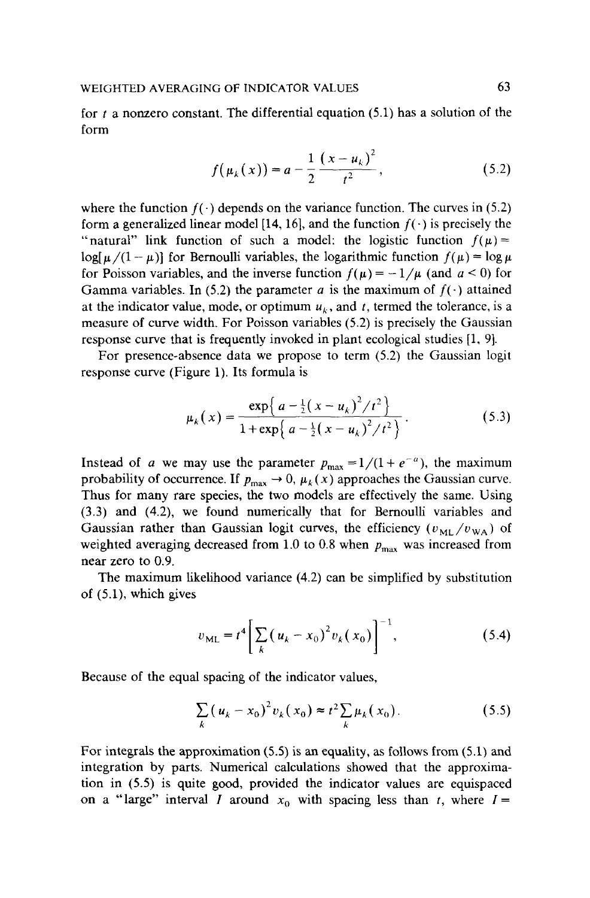for *t* a nonzero constant. The differential equation (5.1) has a solution of the form

$$
f(\mu_k(x)) = a - \frac{1}{2} \frac{(x - u_k)^2}{t^2},
$$
\n(5.2)

where the function  $f(\cdot)$  depends on the variance function. The curves in (5.2) form a generalized linear model [14, 16], and the function  $f(\cdot)$  is precisely the "natural" link function of such a model: the logistic function  $f(\mu)$  =  $\log[\mu/(1-\mu)]$  for Bernoulli variables, the logarithmic function  $f(\mu) = \log \mu$ for Poisson variables, and the inverse function  $f(\mu) = -1/\mu$  (and  $a < 0$ ) for Gamma variables. In (5.2) the parameter a is the maximum of  $f(\cdot)$  attained at the indicator value, mode, or optimum  $u_k$ , and *t*, termed the tolerance, is a measure of curve width. For Poisson variables (5.2) is precisely the Gaussian response curve that is frequently invoked in plant ecological studies [1, 9].

For presence-absence data we propose to term (5.2) the Gaussian logit response curve (Figure 1). Its formula is

$$
\mu_k(x) = \frac{\exp\left\{a - \frac{1}{2}(x - u_k)^2 / t^2\right\}}{1 + \exp\left\{a - \frac{1}{2}(x - u_k)^2 / t^2\right\}}.
$$
\n(5.3)

Instead of a we may use the parameter  $p_{\text{max}} = 1/(1 + e^{-a})$ , the maximum probability of occurrence. If  $p_{\text{max}} \to 0$ ,  $\mu_k(x)$  approaches the Gaussian curve. Thus for many rare species, the two models are effectively the same. Using (3.3) and (4.2), we found numerically that for Bernoulli variables and Gaussian rather than Gaussian logit curves, the efficiency  $(v_{ML}/v_{WA})$  of weighted averaging decreased from 1.0 to 0.8 when *Pmax* was increased from near zero to 0.9.

The maximum likelihood variance (4.2) can be simplified by substitution of (5.1), which gives

$$
v_{ML} = t^4 \left[ \sum_{k} (u_k - x_0)^2 v_k(x_0) \right]^{-1}, \tag{5.4}
$$

Because of the equal spacing of the indicator values,

$$
\sum_{k} (u_k - x_0)^2 v_k(x_0) \approx t^2 \sum_{k} \mu_k(x_0).
$$
 (5.5)

For integrals the approximation (S.S) is an equality, as follows from (5.1) and integration by parts. Numerical calculations showed that the approximation in (5.5) is quite good, provided the indicator values are equispaced on a "large" interval *I* around  $x_0$  with spacing less than *t*, where  $I=$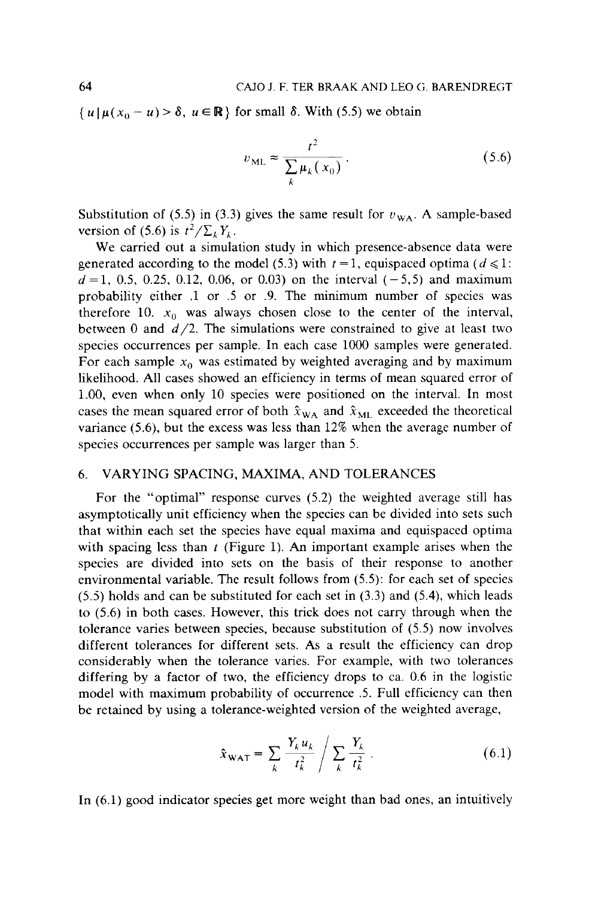$\{u \mid \mu(x_0 - u) > \delta, u \in \mathbb{R} \}$  for small  $\delta$ . With (5.5) we obtain

$$
v_{\rm ML} \approx \frac{t^2}{\sum_{k} \mu_k(x_0)}.
$$
 (5.6)

Substitution of (5.5) in (3.3) gives the same result for  $v_{WA}$ . A sample-based version of (5.6) is  $t^2/\sum_k Y_k$ .

We carried out a simulation study in which presence-absence data were generated according to the model (5.3) with  $t = 1$ , equispaced optima ( $d \le 1$ :  $d = 1, 0.5, 0.25, 0.12, 0.06,$  or 0.03) on the interval (-5,5) and maximum probability either .1 or .5 or .9. The minimum number of species was therefore 10.  $x_0$  was always chosen close to the center of the interval, between 0 and  $d/2$ . The simulations were constrained to give at least two species occurrences per sample. In each case 1000 samples were generated. For each sample  $x_0$  was estimated by weighted averaging and by maximum likelihood. All cases showed an efficiency in terms of mean squared error of 1.00, even when only 10 species were positioned on the interval. In most cases the mean squared error of both  $\hat{x}_{WA}$  and  $\hat{x}_{ML}$  exceeded the theoretical variance (5.6), but the excess was less than 12% when the average number of species occurrences per sample was larger than 5.

# 6. VARYING SPACING, MAXIMA, AND TOLERANCES

For the "optimal" response curves (5.2) the weighted average still has asymptotically unit efficiency when the species can be divided into sets such that within each set the species have equal maxima and equispaced optima with spacing less than *t* (Figure 1). An important example arises when the species are divided into sets on the basis of their response to another environmental variable. The result follows from (5.5): for each set of species  $(5.5)$  holds and can be substituted for each set in  $(3.3)$  and  $(5.4)$ , which leads to (5.6) in both cases. However, this trick does not carry through when the tolerance varies between species, because substitution of (5.5) now involves different tolerances for different sets. As a result the efficiency can drop considerably when the tolerance varies. For example, with two tolerances differing by a factor of two, the efficiency drops to ca. 0.6 in the logistic model with maximum probability of occurrence .5. Full efficiency can then be retained by using a tolerance-weighted version of the weighted average,

$$
\hat{x}_{\text{WAT}} = \sum_{k} \frac{Y_k u_k}{t_k^2} / \sum_{k} \frac{Y_k}{t_k^2} . \tag{6.1}
$$

In (6.1) good indicator species get more weight than bad ones, an intuitively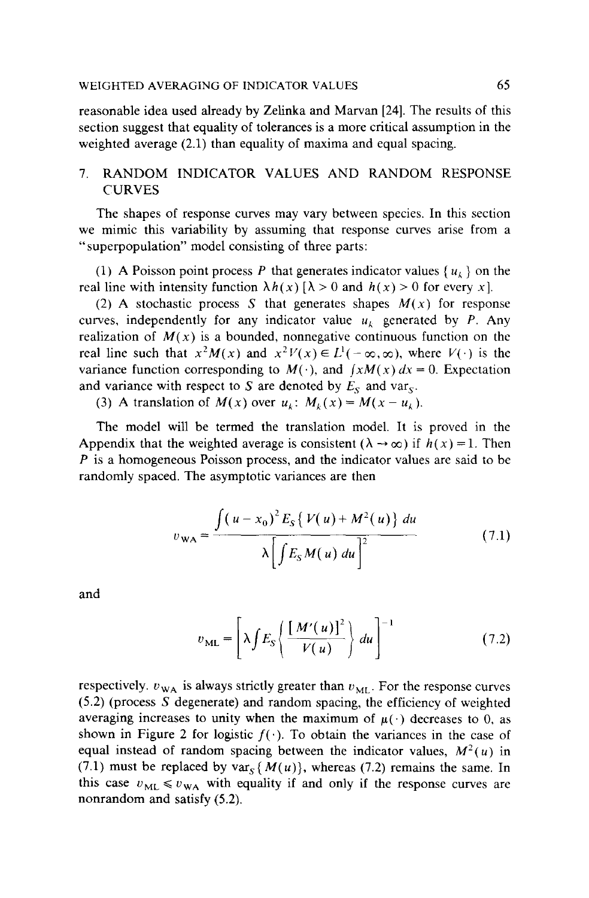reasonable idea used already by Zelinka and Marvan [24]. The results of this section suggest that equality of tolerances is a more critical assumption in the weighted average (2.1) than equality of maxima and equal spacing.

# 7. RANDOM INDICATOR VALUES AND RANDOM RESPONSE **CURVES**

The shapes of response curves may vary between species. In this section we mimic this variability by assuming that response curves arise from a "superpopulation" model consisting of three parts:

(1) A Poisson point process *P* that generates indicator values  $\{u_k\}$  on the real line with intensity function  $\lambda h(x)$  [ $\lambda > 0$  and  $h(x) > 0$  for every x].

(2) A stochastic process S that generates shapes  $M(x)$  for response curves, independently for any indicator value  $u_k$  generated by P. Any realization of  $M(x)$  is a bounded, nonnegative continuous function on the real line such that  $x^2M(x)$  and  $x^2V(x) \in L^1(-\infty,\infty)$ , where  $V(\cdot)$  is the variance function corresponding to  $M(\cdot)$ , and  $\int xM(x) dx = 0$ . Expectation and variance with respect to S are denoted by  $E_S$  and var<sub>s</sub>.

(3) A translation of  $M(x)$  over  $u_k$ :  $M_k(x) = M(x - u_k)$ .

The model will be termed the translation model. It is proved in the Appendix that the weighted average is consistent ( $\lambda \rightarrow \infty$ ) if  $h(x) = 1$ . Then *P* is a homogeneous Poisson process, and the indicator values are said to be randomly spaced. The asymptotic variances are then

$$
v_{WA} = \frac{\int (u - x_0)^2 E_S \{ V(u) + M^2(u) \} du}{\lambda \left[ \int E_S M(u) du \right]^2}
$$
(7.1)

and

$$
v_{ML} = \left[\lambda \int E_S \left\{ \frac{[M'(u)]^2}{V(u)} \right\} du \right]^{-1} \tag{7.2}
$$

respectively.  $v_{WA}$  is always strictly greater than  $v_{ML}$ . For the response curves (5.2) (process S degenerate) and random spacing, the efficiency of weighted averaging increases to unity when the maximum of  $\mu(\cdot)$  decreases to 0, as shown in Figure 2 for logistic  $f(\cdot)$ . To obtain the variances in the case of equal instead of random spacing between the indicator values,  $M^2(u)$  in (7.1) must be replaced by var<sub>s</sub> { $M(u)$ }, whereas (7.2) remains the same. In this case  $v_{ML} \le v_{WA}$  with equality if and only if the response curves are nonrandom and satisfy (5.2).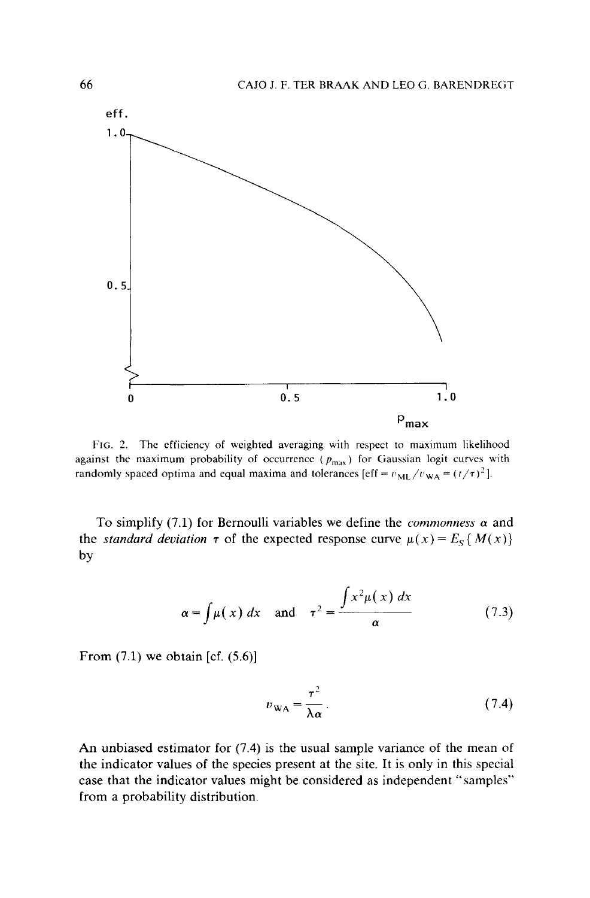

FIG. 2. The efficiency of weighted averaging with respect to maximum likelihood against the maximum probability of occurrence ( $p_{\text{max}}$ ) for Gaussian logit curves with randomly spaced optima and equal maxima and tolerances [eff =  $v_{ML}/v_{WA} = (t/\tau)^2$ ].

To simplify  $(7.1)$  for Bernoulli variables we define the *commonness*  $\alpha$  and the *standard deviation*  $\tau$  of the expected response curve  $\mu(x) = E_s \{M(x)\}\$ by

$$
\alpha = \int \mu(x) \, dx \quad \text{and} \quad \tau^2 = \frac{\int x^2 \mu(x) \, dx}{\alpha} \tag{7.3}
$$

From  $(7.1)$  we obtain [cf.  $(5.6)$ ]

$$
v_{\text{WA}} = \frac{\tau^2}{\lambda \alpha} \,. \tag{7.4}
$$

An unbiased estimator for (7.4) is the usual sample variance of the mean of the indicator values of the species present at the site. It is only in this special case that the indicator values might be considered as independent "samples"' from a probability distribution.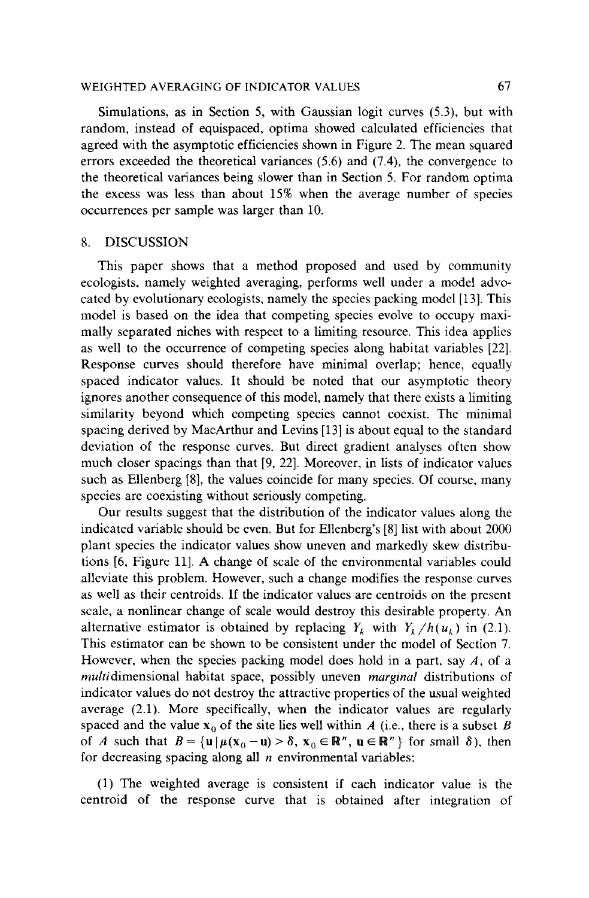### WEIGHTED AVERAGING OF INDICATOR VALUES 67

Simulations, as in Section 5, with Gaussian logit curves (5.3), but with random, instead of equispaced, optima showed calculated efficiencies that agreed with the asymptotic efficiencies shown in Figure 2. The mean squared errors exceeded the theoretical variances (5.6) and (7.4), the convergence to the theoretical variances being slower than in Section 5. For random optima the excess was less than about 15% when the average number of species occurrences per sample was larger than 10.

## 8. DISCUSSION

This paper shows that a method proposed and used by community ecologists, namely weighted averaging, performs well under a model advocated by evolutionary ecologists, namely the species packing model [13]. This model is based on the idea that competing species evolve to occupy maximally separated niches with respect to a limiting resource. This idea applies as well to the occurrence of competing species along habitat variables [22]. Response curves should therefore have minimal overlap; hence, equally spaced indicator values. It should be noted that our asymptotic theory ignores another consequence of this model, namely that there exists a limiting similarity beyond which competing species cannot coexist. The minimal spacing derived by MacArthur and Levins [13] is about equal to the standard deviation of the response curves. But direct gradient analyses often show much closer spacings than that [9, 22]. Moreover, in lists of indicator values such as Ellenberg [8], the values coincide for many species. Of course, many species are coexisting without seriously competing.

Our results suggest that the distribution of the indicator values along the indicated variable should be even. But for Ellenberg's [8] list with about 2000 plant species the indicator values show uneven and markedly skew distributions [6, Figure 11]. A change of scale of the environmental variables could alleviate this problem. However, such a change modifies the response curves as well as their centroids. If the indicator values are centroids on the present scale, a nonlinear change of scale would destroy this desirable property. An alternative estimator is obtained by replacing  $Y_k$  with  $Y_k/h(u_k)$  in (2.1). This estimator can be shown to be consistent under the model of Section 7. However, when the species packing model does hold in a part, say *A,* of a multidimensional habitat space, possibly uneven *marginal* distributions of indicator values do not destroy the attractive properties of the usual weighted average (2.1). More specifically, when the indicator values are regularly spaced and the value  $x_0$  of the site lies well within *A* (i.e., there is a subset *B* of A such that  $B = {\mathbf{u} | \mu(\mathbf{x}_0 - \mathbf{u}) > \delta, \mathbf{x}_0 \in \mathbb{R}^n, \mathbf{u} \in \mathbb{R}^n}$  for small  $\delta$ ), then for decreasing spacing along all *n* environmental variables:

(1) The weighted average is consistent if each indicator value is the centroid of the response curve that is obtained after integration of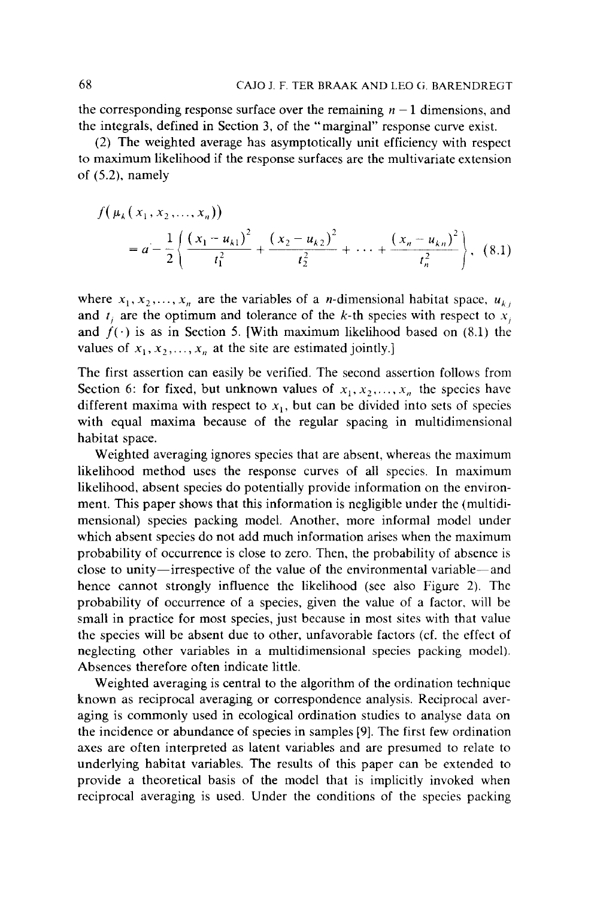the corresponding response surface over the remaining  $n - 1$  dimensions, and the integrals, defined in Section 3, of the "marginal" response curve exist.

(2) The weighted average has asymptotically unit efficiency with respect to maximum likelihood if the response surfaces are the multivariate extension of (5.2), namely

$$
f(\mu_k(x_1, x_2,..., x_n))
$$
  
=  $a - \frac{1}{2} \left\{ \frac{(x_1 - u_{k1})^2}{t_1^2} + \frac{(x_2 - u_{k2})^2}{t_2^2} + \dots + \frac{(x_n - u_{kn})^2}{t_n^2} \right\}, (8.1)$ 

where  $x_1, x_2, \ldots, x_n$  are the variables of a *n*-dimensional habitat space,  $u_{k,i}$ and  $t_i$  are the optimum and tolerance of the k-th species with respect to  $x_i$ and  $f(\cdot)$  is as in Section 5. [With maximum likelihood based on (8.1) the values of  $x_1, x_2, ..., x_n$  at the site are estimated jointly.]

The first assertion can easily be verified. The second assertion follows from Section 6: for fixed, but unknown values of  $x_1, x_2, ..., x_n$  the species have different maxima with respect to  $x_1$ , but can be divided into sets of species with equal maxima because of the regular spacing in multidimensional habitat space.

Weighted averaging ignores species that are absent, whereas the maximum likelihood method uses the response curves of all species. In maximum likelihood, absent species do potentially provide information on the environment. This paper shows that this information is negligible under the (multidimensional) species packing model. Another, more informal model under which absent species do not add much information arises when the maximum probability of occurrence is close to zero. Then, the probability of absence is close to unity-irrespective of the value of the environmental variable-and hence cannot strongly influence the likelihood (see also Figure 2). The probability of occurrence of a species, given the value of a factor, will be small in practice for most species, just because in most sites with that value the species will be absent due to other, unfavorable factors (cf. the effect of neglecting other variables in a multidimensional species packing model). Absences therefore often indicate little.

Weighted averaging is central to the algorithm of the ordination technique known as reciprocal averaging or correspondence analysis. Reciprocal averaging is commonly used in ecological ordination studies to analyse data on the incidence or abundance of species in samples [9]. The first few ordination axes are often interpreted as latent variables and are presumed to relate to underlying habitat variables. The results of this paper can be extended to provide a theoretical basis of the model that is implicitly invoked when reciprocal averaging is used. Under the conditions of the species packing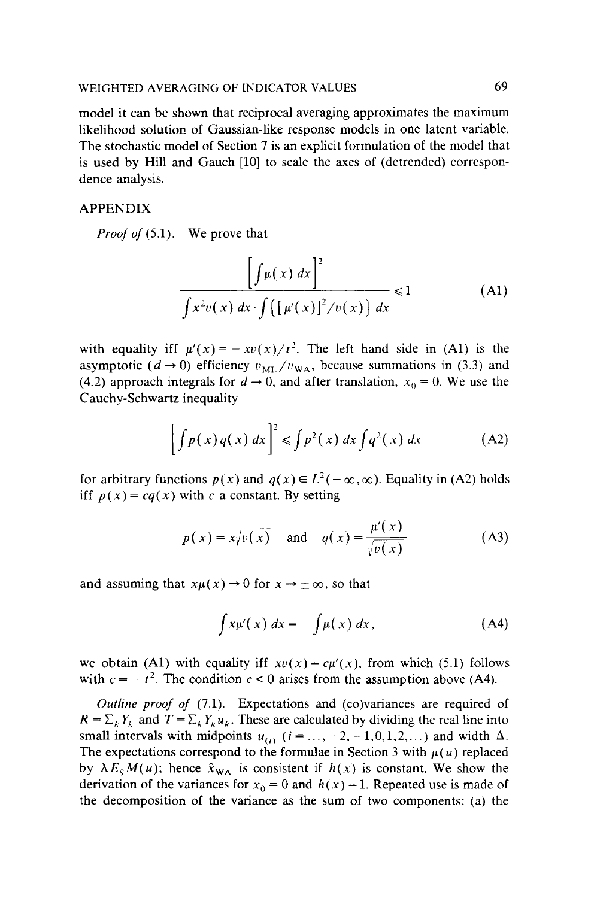model it can be shown that reciprocal averaging approximates the maximum likelihood solution of Gaussian-like response models in one latent variable. The stochastic model of Section 7 is an explicit formulation of the model that is used by Hill and Gauch [10] to scale the axes of (detrended) correspondence analysis.

## APPENDIX

*Proof of* (5.1). We prove that

$$
\frac{\left[\int \mu(x) dx\right]^2}{\int x^2 v(x) dx \cdot \int \left\{\left[\mu'(x)\right]^2 / v(x)\right\} dx} \le 1
$$
 (A1)

with equality iff  $\mu'(x) = -xv(x)/t^2$ . The left hand side in (A1) is the asymptotic ( $d \rightarrow 0$ ) efficiency  $v_{ML}/v_{WA}$ , because summations in (3.3) and (4.2) approach integrals for  $d \rightarrow 0$ , and after translation,  $x_0 = 0$ . We use the Cauchy-Schwartz inequality

$$
\left[\int p(x) q(x) dx\right]^2 \leq \int p^2(x) dx \int q^2(x) dx \tag{A2}
$$

for arbitrary functions  $p(x)$  and  $q(x) \in L^2(-\infty, \infty)$ . Equality in (A2) holds iff  $p(x) = cq(x)$  with c a constant. By setting

$$
p(x) = x\sqrt{v(x)} \quad \text{and} \quad q(x) = \frac{\mu'(x)}{\sqrt{v(x)}} \tag{A3}
$$

and assuming that  $x\mu(x) \rightarrow 0$  for  $x \rightarrow \pm \infty$ , so that

$$
\int x\mu'(x) dx = -\int \mu(x) dx,
$$
 (A4)

we obtain (A1) with equality iff  $xv(x) = c\mu'(x)$ , from which (5.1) follows with  $c = -t^2$ . The condition  $c < 0$  arises from the assumption above (A4).

*Outline proof of* (7.1). Expectations and (co)variances are required of  $R = \sum_{k} Y_k$  and  $T = \sum_{k} Y_k u_k$ . These are calculated by dividing the real line into small intervals with midpoints  $u_{(i)}$  ( $i = ..., -2, -1, 0, 1, 2, ...$ ) and width  $\Delta$ . The expectations correspond to the formulae in Section 3 with  $\mu(u)$  replaced by  $\lambda E_{S}M(u)$ ; hence  $\hat{x}_{WA}$  is consistent if  $h(x)$  is constant. We show the derivation of the variances for  $x_0 = 0$  and  $h(x) = 1$ . Repeated use is made of the decomposition of the variance as the sum of two components: (a) the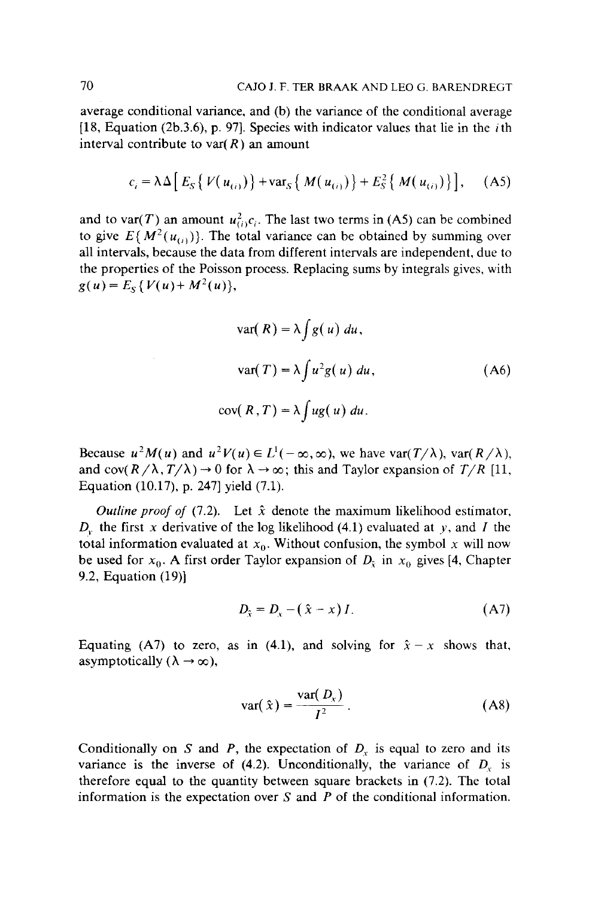average conditional variance, and (b) the variance of the conditional average  $[18, Equation (2b.3.6), p. 97]$ . Species with indicator values that lie in the *i*th interval contribute to var( $R$ ) an amount

$$
c_i = \lambda \Delta \Big[ E_S \{ V(u_{(i)}) \} + \text{var}_S \{ M(u_{(i)}) \} + E_S^2 \{ M(u_{(i)}) \} \Big], \quad (A5)
$$

and to var(T) an amount  $u_{(i)}^2 c_i$ . The last two terms in (A5) can be combined to give  $E\{M^2(u_{(i)})\}$ . The total variance can be obtained by summing over all intervals, because the data from different intervals are independent, due to the properties of the Poisson process. Replacing sums by integrals gives, with  $g(u) = E_S \{ V(u) + M^2(u) \},\$ 

 $\epsilon$ 

$$
var(R) = \lambda \int g(u) \, du,
$$
  

$$
var(T) = \lambda \int u^2 g(u) \, du,
$$
  

$$
cov(R, T) = \lambda \int ug(u) \, du.
$$
 (A6)

Because  $u^2M(u)$  and  $u^2V(u) \in L^1(-\infty, \infty)$ , we have var( $T/\lambda$ ), var( $R/\lambda$ ), and cov( $R/\lambda$ ,  $T/\lambda$ )  $\rightarrow$  0 for  $\lambda \rightarrow \infty$ ; this and Taylor expansion of  $T/R$  [11, Equation (10.17), p. 247] yield (7.1).

*Outline proof of* (7.2). Let  $\hat{x}$  denote the maximum likelihood estimator,  $D<sub>y</sub>$ , the first *x* derivative of the log likelihood (4.1) evaluated at *y*, and *I* the total information evaluated at  $x_0$ . Without confusion, the symbol x will now be used for  $x_0$ . A first order Taylor expansion of  $D<sub>x</sub>$  in  $x_0$  gives [4, Chapter 9.2, Equation (19)]

$$
D_{\hat{x}} = D_x - (\hat{x} - x)I. \tag{A7}
$$

Equating (A7) to zero, as in (4.1), and solving for  $\hat{x} - x$  shows that, asymptotically  $(\lambda \rightarrow \infty)$ ,

$$
\text{var}(\hat{x}) = \frac{\text{var}(D_x)}{I^2} \,. \tag{A8}
$$

Conditionally on S and P, the expectation of  $D<sub>x</sub>$  is equal to zero and its variance is the inverse of (4.2). Unconditionally, the variance of  $D_x$  is therefore equal to the quantity between square brackets in (7.2). The total information is the expectation over S and *P* of the conditional information.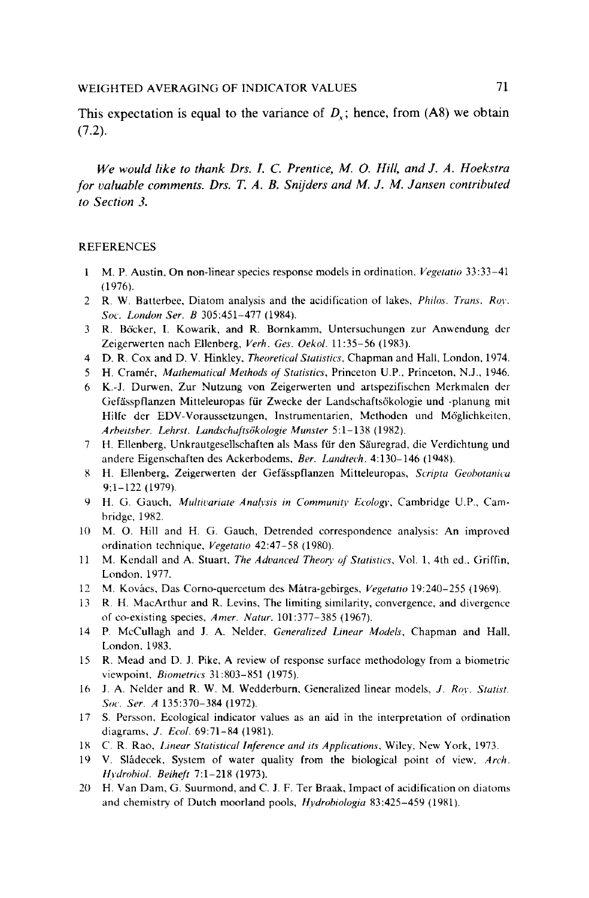This expectation is equal to the variance of  $D<sub>x</sub>$ ; hence, from (A8) we obtain (7.2).

*We would like to thank Drs. I. C. Prentice, M.* 0. *Hill, and J. A. Hoekstra for valuable comments. Drs.* T. *A. B. Snijders and M. J. M. Jansen contributed to Section 3.* 

### REFERENCES

- $\mathbf{I}$ M.P. Austin. On non-linear species response models in ordination. *Vegetatio* 33:33-41 (1976).
- 2 R. W. Batterbee, Diatom analysis and the acidification of lakes, *Philos. Trans. Rov. Soc. London Ser. B* 305:451-477 (1984).
- 3 R. Böcker, I. Kowarik, and R. Bornkamm, Untersuchungen zur Anwendung der Zeigerwerten nach Ellenberg, *Verh. Ges. Oekol.* 11:35-56 (1983).
- 4 D. R. Cox and D. V. Hinkley, *Theoretical Statistics,* Chapman and Hall, London, 1974.
- 5 H. Cramer, *Mathematical Methods of Statistics,* Princeton U.P., Princeton, N.J., 1946.
- 6 K.-J. Durwen, Zur Nutzung von Zeigerwerten und artspezifischen Merkmalen der Gefasspflanzen Mitteleuropas fiir Zwecke der Landschaftsokologie und -planung mit Hilfe der EDV-Voraussetzungen, Instrumentarien, Methoden und Möglichkeiten, *Arheitsher. Lehrst. Landschuftsokologie Munster* 5:1-138 (1982).
- 7 H. Ellenberg, Unkrautgesellschaften als Mass fiir den Sauregrad, die Verdichtung und andere Eigenschaften des Ackerbodems, *Ber. Landtech*. 4:130-146 (1948).
- 8 H. Ellenberg, Zeigerwerten der Gefasspflanzen Mitteleuropas, *Scripta Geohotanica*  9:1-122 (1979).
- 9 H. G. Gauch, *Multivariate Analvsis in Communitv Ecologv,* Cambridge U.P., Cambridge, 1982.
- 10 M. 0. Hill and H. G. Gauch, Detrended correspondence analysis: An improved ordination technique, *Vegetatio* 42:47-58 (1980).
- 11 M. Kendall and A. Stuart, *The Advanced Theory of Statistics.* Vol. 1, 4th ed .. Griffin, London. 1977.
- 12 M. Kovacs, Das Corno-quercetum des Matra-gebirges, *Vegetatio* 19:240-255 (1969).
- 13 R. H. MacArthur and R. Levins. The limiting similarity, convergence, and divergence of co-existing species, *A mer. Natur.* 101:377-385 (1967).
- 14 P. McCullagh and J. A. Neider. *Generalized Linear Models,* Chapman and Hall. London. 1983.
- 15 R. Mead and D. J. Pike, A review of response surface methodology from a biometric viewpoint. *Biometrics* 31:803-851 (1975).
- 16 J. A. Neider and R. W. M. Wedderburn, Generalized linear models, *J. Ror. Statist. Soc. Ser. A* 135:370-384 (1972).
- 17 S. Persson, Ecological indicator values as an aid in the interpretation of ordination diagrams. J. *Ecol.* 69:71-84 (1981).
- 18 C. R. Rao, *Unear Statistical Inference and its Applications,* Wiley. New York, 1973.
- 19 V. Sladecek, System of water quality from the biological point of view. *Arch. Hrdrohiol. Beiheft* 7:1-218 (1973).
- 20 H. Van Dam, G. Suurmond, and C. J. F. Ter Braak, Impact of acidification on diatoms and chemistry of Dutch moorland pools, *Hydrobiologia* 83:425-459 (1981).